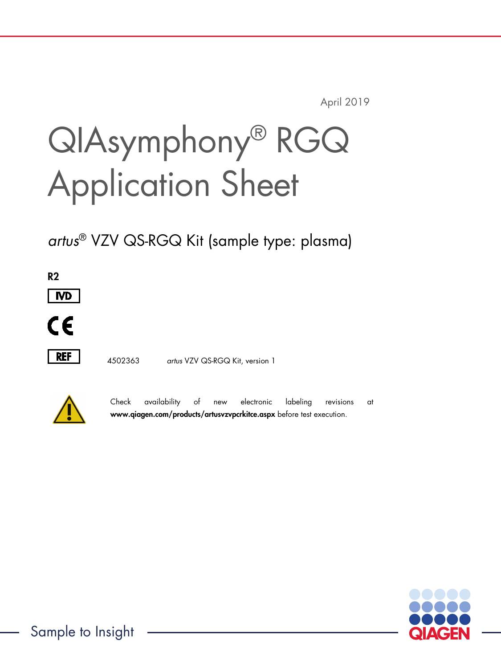April 2019

# QIAsymphony® RGQ Application Sheet

*artus*® VZV QS-RGQ Kit (sample type: plasma)

R2



 $\epsilon$ 



4502363 *artus* VZV QS-RGQ Kit, version 1



Check availability of new electronic labeling revisions at www.qiagen.com/products/artusvzvpcrkitce.aspx before test execution.

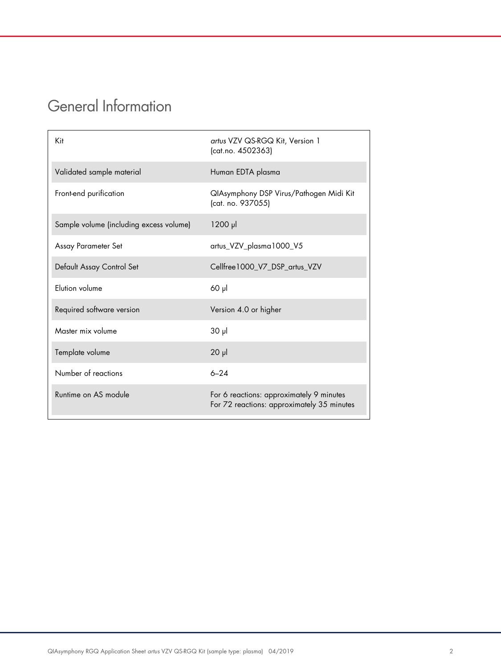## General Information

| Kit                                     | artus VZV QS-RGQ Kit, Version 1<br>(cat.no. 4502363)                                   |
|-----------------------------------------|----------------------------------------------------------------------------------------|
| Validated sample material               | Human EDTA plasma                                                                      |
| Front-end purification                  | QIAsymphony DSP Virus/Pathogen Midi Kit<br>(cat. no. 937055)                           |
| Sample volume (including excess volume) | $1200$ $\mu$                                                                           |
| Assay Parameter Set                     | artus_VZV_plasma1000_V5                                                                |
| Default Assay Control Set               | Cellfree 1000_V7_DSP_artus_VZV                                                         |
| Elution volume                          | $60$ $\mu$                                                                             |
| Required software version               | Version 4.0 or higher                                                                  |
| Master mix volume                       | $30 \mu$                                                                               |
| Template volume                         | $20 \mu$                                                                               |
| Number of reactions                     | $6 - 24$                                                                               |
| Runtime on AS module                    | For 6 reactions: approximately 9 minutes<br>For 72 reactions: approximately 35 minutes |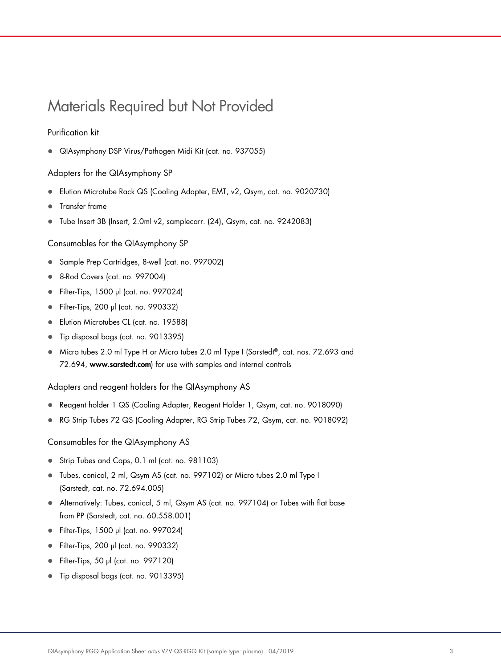## Materials Required but Not Provided

#### Purification kit

QIAsymphony DSP Virus/Pathogen Midi Kit (cat. no. 937055)

#### Adapters for the QIAsymphony SP

- Elution Microtube Rack QS (Cooling Adapter, EMT, v2, Qsym, cat. no. 9020730)
- **•** Transfer frame
- Tube Insert 3B (Insert, 2.0ml v2, samplecarr. (24), Qsym, cat. no. 9242083)

Consumables for the QIAsymphony SP

- Sample Prep Cartridges, 8-well (cat. no. 997002)
- 8-Rod Covers (cat. no. 997004)
- Filter-Tips, 1500 µl (cat. no. 997024)
- Filter-Tips, 200 µl (cat. no. 990332)
- **Elution Microtubes CL (cat. no. 19588)**
- Tip disposal bags (cat. no. 9013395)
- Micro tubes 2.0 ml Type H or Micro tubes 2.0 ml Type I (Sarstedt®, cat. nos. 72.693 and 72.694, www.sarstedt.com) for use with samples and internal controls

Adapters and reagent holders for the QIAsymphony AS

- Reagent holder 1 QS (Cooling Adapter, Reagent Holder 1, Qsym, cat. no. 9018090)
- RG Strip Tubes 72 QS (Cooling Adapter, RG Strip Tubes 72, Qsym, cat. no. 9018092)

Consumables for the QIAsymphony AS

- Strip Tubes and Caps, 0.1 ml (cat. no. 981103)
- Tubes, conical, 2 ml, Qsym AS (cat. no. 997102) or Micro tubes 2.0 ml Type I (Sarstedt, cat. no. 72.694.005)
- Alternatively: Tubes, conical, 5 ml, Qsym AS (cat. no. 997104) or Tubes with flat base from PP (Sarstedt, cat. no. 60.558.001)
- Filter-Tips, 1500 µl (cat. no. 997024)
- Filter-Tips, 200 µl (cat. no. 990332)
- Filter-Tips, 50 µl (cat. no. 997120)
- Tip disposal bags (cat. no. 9013395)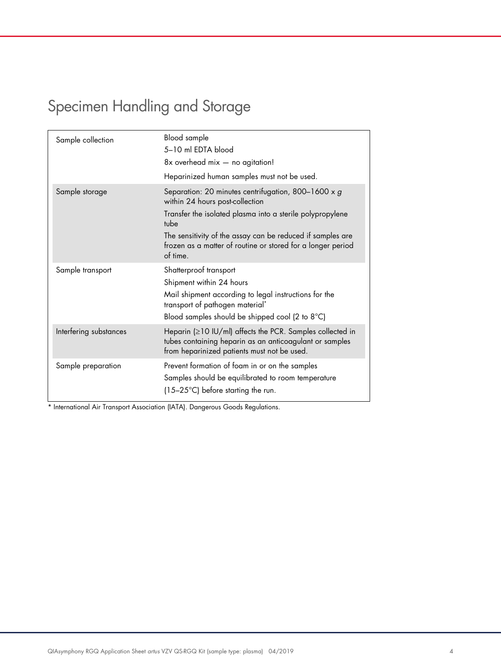# Specimen Handling and Storage

| Sample collection      | <b>Blood</b> sample<br>5-10 ml EDTA blood<br>8x overhead mix - no agitation!<br>Heparinized human samples must not be used.                                                                                                                                                                          |
|------------------------|------------------------------------------------------------------------------------------------------------------------------------------------------------------------------------------------------------------------------------------------------------------------------------------------------|
| Sample storage         | Separation: 20 minutes centrifugation, 800-1600 x g<br>within 24 hours post-collection<br>Transfer the isolated plasma into a sterile polypropylene<br>tube<br>The sensitivity of the assay can be reduced if samples are<br>frozen as a matter of routine or stored for a longer period<br>of time. |
| Sample transport       | Shatterproof transport<br>Shipment within 24 hours<br>Mail shipment according to legal instructions for the<br>transport of pathogen material <sup>*</sup><br>Blood samples should be shipped cool (2 to 8°C)                                                                                        |
| Interfering substances | Heparin (≥10 IU/ml) affects the PCR. Samples collected in<br>tubes containing heparin as an anticoagulant or samples<br>from heparinized patients must not be used.                                                                                                                                  |
| Sample preparation     | Prevent formation of foam in or on the samples<br>Samples should be equilibrated to room temperature<br>$(15-25^{\circ}C)$ before starting the run.                                                                                                                                                  |

\* International Air Transport Association (IATA). Dangerous Goods Regulations.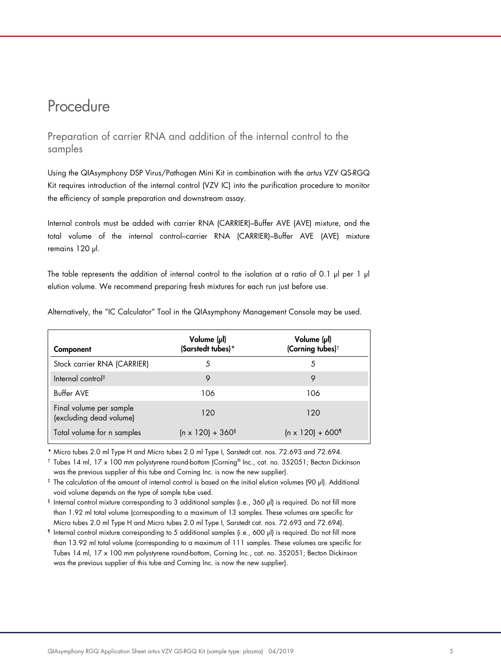### Procedure

Preparation of carrier RNA and addition of the internal control to the samples

Using the QIAsymphony DSP Virus/Pathogen Mini Kit in combination with the *artus* VZV QS-RGQ Kit requires introduction of the internal control (VZV IC) into the purification procedure to monitor the efficiency of sample preparation and downstream assay.

Internal controls must be added with carrier RNA (CARRIER)–Buffer AVE (AVE) mixture, and the total volume of the internal control–carrier RNA (CARRIER)–Buffer AVE (AVE) mixture remains 120 µl.

The table represents the addition of internal control to the isolation at a ratio of 0.1  $\mu$  per 1  $\mu$ elution volume. We recommend preparing fresh mixtures for each run just before use.

| Component                                          | Volume (µl)<br>(Sarstedt tubes)*    | Volume (µl)<br>(Corning tubes) <sup>†</sup> |
|----------------------------------------------------|-------------------------------------|---------------------------------------------|
| Stock carrier RNA (CARRIER)                        | 5                                   | 5                                           |
| Internal control <sup>#</sup>                      | 9                                   |                                             |
| Buffer AVE                                         | 106                                 | 106                                         |
| Final volume per sample<br>(excluding dead volume) | 120                                 | 120                                         |
| Total volume for n samples                         | $(n \times 120) + 360$ <sup>§</sup> | $(n \times 120) + 600$ <sup>1</sup>         |

Alternatively, the "IC Calculator" Tool in the QIAsymphony Management Console may be used.

\* Micro tubes 2.0 ml Type H and Micro tubes 2.0 ml Type I, Sarstedt cat. nos. 72.693 and 72.694.

† Tubes 14 ml, 17 x 100 mm polystyrene round-bottom (Corning® Inc., cat. no. 352051; Becton Dickinson was the previous supplier of this tube and Corning Inc. is now the new supplier).

‡ The calculation of the amount of internal control is based on the initial elution volumes (90 µl). Additional void volume depends on the type of sample tube used.

§ Internal control mixture corresponding to 3 additional samples (i.e., 360 µl) is required. Do not fill more than 1.92 ml total volume (corresponding to a maximum of 13 samples. These volumes are specific for Micro tubes 2.0 ml Type H and Micro tubes 2.0 ml Type I, Sarstedt cat. nos. 72.693 and 72.694).

¶ Internal control mixture corresponding to 5 additional samples (i.e., 600 µl) is required. Do not fill more than 13.92 ml total volume (corresponding to a maximum of 111 samples. These volumes are specific for Tubes 14 ml, 17 x 100 mm polystyrene round-bottom, Corning Inc., cat. no. 352051; Becton Dickinson was the previous supplier of this tube and Corning Inc. is now the new supplier).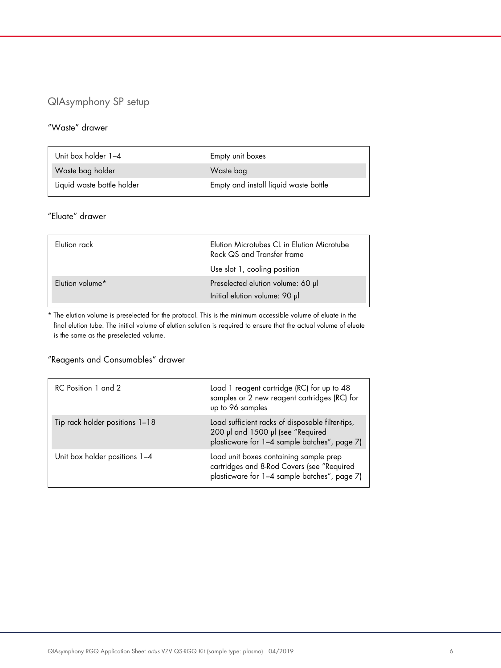#### QIAsymphony SP setup

#### "Waste" drawer

| Unit box holder 1-4        | Empty unit boxes                      |
|----------------------------|---------------------------------------|
| Waste bag holder           | Waste bag                             |
| Liquid waste bottle holder | Empty and install liquid waste bottle |

#### "Eluate" drawer

| Flution rack    | Elution Microtubes CL in Elution Microtube<br>Rack QS and Transfer frame<br>Use slot 1, cooling position |
|-----------------|----------------------------------------------------------------------------------------------------------|
| Elution volume* | Preselected elution volume: 60 µl<br>Initial elution volume: 90 µl                                       |

\* The elution volume is preselected for the protocol. This is the minimum accessible volume of eluate in the final elution tube. The initial volume of elution solution is required to ensure that the actual volume of eluate is the same as the preselected volume.

#### "Reagents and Consumables" drawer

| RC Position 1 and 2            | Load 1 reagent cartridge (RC) for up to 48<br>samples or 2 new reagent cartridges (RC) for<br>up to 96 samples                        |
|--------------------------------|---------------------------------------------------------------------------------------------------------------------------------------|
| Tip rack holder positions 1-18 | Load sufficient racks of disposable filter-tips,<br>200 µl and 1500 µl (see "Required<br>plasticware for 1-4 sample batches", page 7) |
| Unit box holder positions 1-4  | Load unit boxes containing sample prep<br>cartridges and 8-Rod Covers (see "Required<br>plasticware for 1-4 sample batches", page 7)  |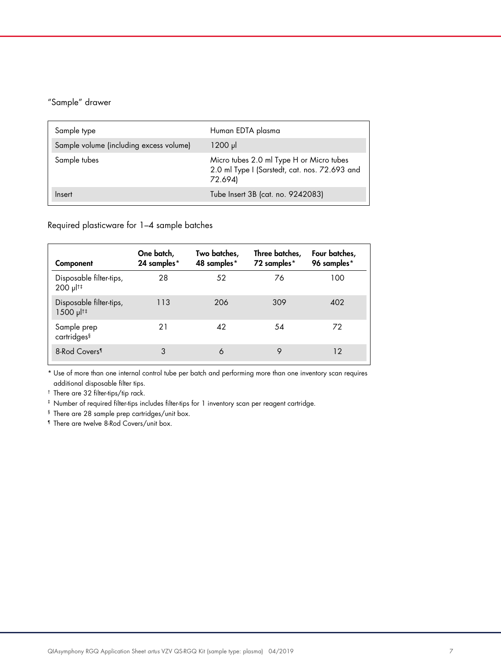#### "Sample" drawer

| Sample type                             | Human EDTA plasma                                                                                    |
|-----------------------------------------|------------------------------------------------------------------------------------------------------|
| Sample volume (including excess volume) | $1200 \mu$                                                                                           |
| Sample tubes                            | Micro tubes 2.0 ml Type H or Micro tubes<br>2.0 ml Type I (Sarstedt, cat. nos. 72.693 and<br>72.694) |
| Insert                                  | Tube Insert 3B (cat. no. 9242083)                                                                    |

Required plasticware for 1–4 sample batches

| Component                                              | One batch,<br>24 samples* | Two batches,<br>48 samples* | Three batches,<br>72 samples* | Four batches,<br>96 samples* |
|--------------------------------------------------------|---------------------------|-----------------------------|-------------------------------|------------------------------|
| Disposable filter-tips,<br>200 µl <sup>t‡</sup>        | 28                        | 52                          | 76                            | 100                          |
| Disposable filter-tips,<br>$1500$ $\mu$ <sup>[†‡</sup> | 113                       | 206                         | 309                           | 402                          |
| Sample prep<br>cartridges <sup>§</sup>                 | 21                        | 42                          | 54                            | 72                           |
| 8-Rod Covers <sup>1</sup>                              | 3                         | 6                           | 9                             | 12                           |

\* Use of more than one internal control tube per batch and performing more than one inventory scan requires additional disposable filter tips.

† There are 32 filter-tips/tip rack.

‡ Number of required filter-tips includes filter-tips for 1 inventory scan per reagent cartridge.

§ There are 28 sample prep cartridges/unit box.

¶ There are twelve 8-Rod Covers/unit box.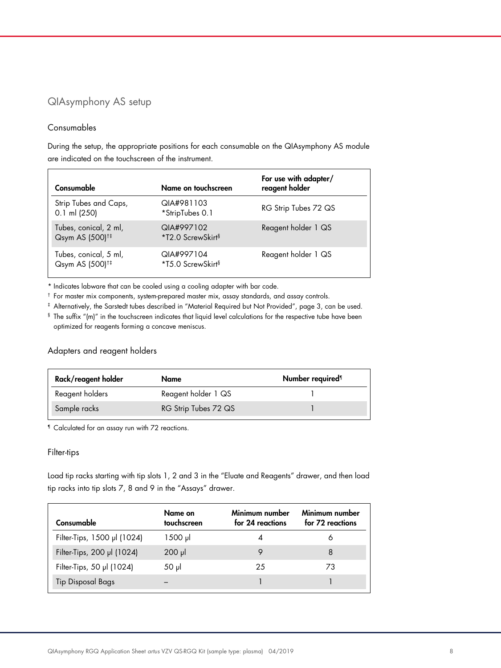#### QIAsymphony AS setup

#### Consumables

During the setup, the appropriate positions for each consumable on the QIAsymphony AS module are indicated on the touchscreen of the instrument.

| Consumable                                           | Name on touchscreen                         | For use with adapter/<br>reagent holder |
|------------------------------------------------------|---------------------------------------------|-----------------------------------------|
| Strip Tubes and Caps,<br>$0.1$ ml (250)              | QIA#981103<br>*StripTubes 0.1               | RG Strip Tubes 72 QS                    |
| Tubes, conical, 2 ml,<br>Qsym AS (500) <sup>†‡</sup> | QIA#997102<br>*T2.0 ScrewSkirt <sup>§</sup> | Reagent holder 1 QS                     |
| Tubes, conical, 5 ml,<br>Qsym AS (500) <sup>+‡</sup> | QIA#997104<br>*T5.0 ScrewSkirt <sup>§</sup> | Reagent holder 1 QS                     |

\* Indicates labware that can be cooled using a cooling adapter with bar code.

† For master mix components, system-prepared master mix, assay standards, and assay controls.

‡ Alternatively, the Sarstedt tubes described in "Material Required but Not Provided", page 3, can be used.

§ The suffix "(m)" in the touchscreen indicates that liquid level calculations for the respective tube have been optimized for reagents forming a concave meniscus.

#### Adapters and reagent holders

| Rack/reagent holder | Name                 | Number required <sup>1</sup> |
|---------------------|----------------------|------------------------------|
| Reagent holders     | Reagent holder 1 QS  |                              |
| Sample racks        | RG Strip Tubes 72 QS |                              |

¶ Calculated for an assay run with 72 reactions.

#### Filter-tips

Load tip racks starting with tip slots 1, 2 and 3 in the "Eluate and Reagents" drawer, and then load tip racks into tip slots 7, 8 and 9 in the "Assays" drawer.

| Consumable                  | Name on<br>touchscreen | Minimum number<br>for 24 reactions | Minimum number<br>for 72 reactions |
|-----------------------------|------------------------|------------------------------------|------------------------------------|
| Filter-Tips, 1500 µl (1024) | 1500 µl                |                                    | Ô                                  |
| Filter-Tips, 200 µl (1024)  | $200$ $\mu$            |                                    | 8                                  |
| Filter-Tips, 50 µl (1024)   | 50 µl                  | 25                                 | 73                                 |
| <b>Tip Disposal Bags</b>    |                        |                                    |                                    |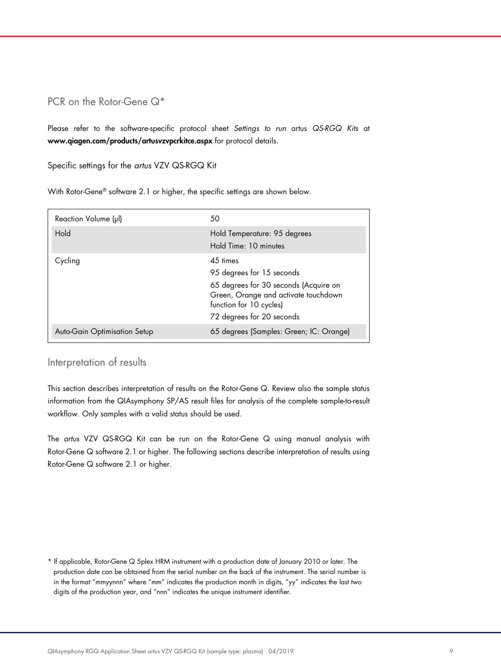#### PCR on the Rotor-Gene Q<sup>\*</sup>

Please refer to the software-specific protocol sheet *Settings to run* artus *QS-RGQ Kits* at www.qiagen.com/products/artusvzvpcrkitce.aspx for protocol details.

Specific settings for the *artus* VZV QS-RGQ Kit

With Rotor-Gene® software 2.1 or higher, the specific settings are shown below.

| Reaction Volume (µl)         | 50                                                                                                                                                                             |
|------------------------------|--------------------------------------------------------------------------------------------------------------------------------------------------------------------------------|
| Hold                         | Hold Temperature: 95 degrees<br>Hold Time: 10 minutes                                                                                                                          |
| Cycling                      | 45 times<br>95 degrees for 15 seconds<br>65 degrees for 30 seconds (Acquire on<br>Green, Orange and activate touchdown<br>function for 10 cycles)<br>72 degrees for 20 seconds |
| Auto-Gain Optimisation Setup | 65 degrees (Samples: Green; IC: Orange)                                                                                                                                        |

#### Interpretation of results

This section describes interpretation of results on the Rotor-Gene Q. Review also the sample status information from the QIAsymphony SP/AS result files for analysis of the complete sample-to-result workflow. Only samples with a valid status should be used.

The *artus* VZV QS-RGQ Kit can be run on the Rotor-Gene Q using manual analysis with Rotor-Gene Q software 2.1 or higher. The following sections describe interpretation of results using Rotor-Gene Q software 2.1 or higher.

\* If applicable, Rotor-Gene Q 5plex HRM instrument with a production date of January 2010 or later. The production date can be obtained from the serial number on the back of the instrument. The serial number is in the format "mmyynnn" where "mm" indicates the production month in digits, "yy" indicates the last two digits of the production year, and "nnn" indicates the unique instrument identifier.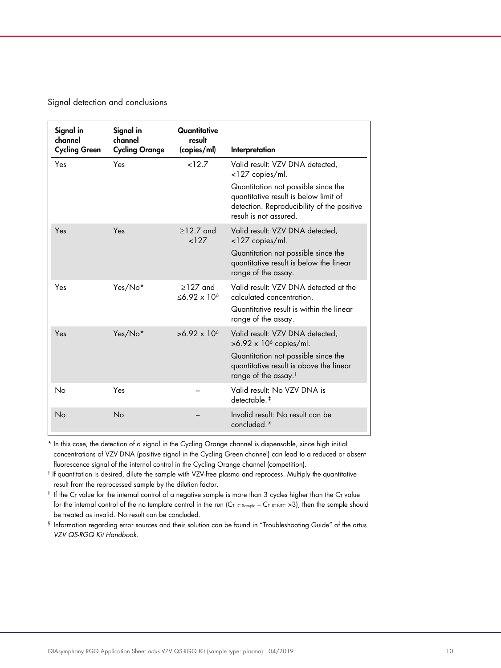Signal detection and conclusions

| Signal in<br>channel<br><b>Cycling Green</b> | Signal in<br>channel<br><b>Cycling Orange</b> | Quantitative<br>result<br>(copies/ml) | Interpretation                                                                                                                                       |
|----------------------------------------------|-----------------------------------------------|---------------------------------------|------------------------------------------------------------------------------------------------------------------------------------------------------|
| Yes                                          | Yes                                           | 12.7                                  | Valid result: VZV DNA detected,<br><127 copies/ml.                                                                                                   |
|                                              |                                               |                                       | Quantitation not possible since the<br>quantitative result is below limit of<br>detection. Reproducibility of the positive<br>result is not assured. |
| Yes                                          | Yes                                           | $>12.7$ and<br>127                    | Valid result: VZV DNA detected,<br><127 copies/ml.                                                                                                   |
|                                              |                                               |                                       | Quantitation not possible since the<br>quantitative result is below the linear<br>range of the assay.                                                |
| Yes                                          | Yes/No*                                       | $>127$ and<br>$< 6.92 \times 10^{6}$  | Valid result: V7V DNA detected at the<br>calculated concentration.                                                                                   |
|                                              |                                               |                                       | Quantitative result is within the linear<br>range of the assay.                                                                                      |
| Yes                                          | Yes/No*                                       | $>6.92 \times 10^{6}$                 | Valid result: VZV DNA detected,<br>$>6.92 \times 10^6$ copies/ml.                                                                                    |
|                                              |                                               |                                       | Quantitation not possible since the<br>quantitative result is above the linear<br>range of the assay. <sup>†</sup>                                   |
| No                                           | Yes                                           |                                       | Valid result: No VZV DNA is<br>detectable. <sup>‡</sup>                                                                                              |
| No                                           | No                                            |                                       | Invalid result: No result can be<br>concluded. <sup>§</sup>                                                                                          |

\* In this case, the detection of a signal in the Cycling Orange channel is dispensable, since high initial concentrations of VZV DNA (positive signal in the Cycling Green channel) can lead to a reduced or absent fluorescence signal of the internal control in the Cycling Orange channel (competition).

† If quantitation is desired, dilute the sample with VZV-free plasma and reprocess. Multiply the quantitative result from the reprocessed sample by the dilution factor.

 $*$  If the C<sub>T</sub> value for the internal control of a negative sample is more than 3 cycles higher than the C<sub>T</sub> value for the internal control of the no template control in the run (CT IC Sample – CT IC NTC >3), then the sample should be treated as invalid. No result can be concluded.

§ Information regarding error sources and their solution can be found in "Troubleshooting Guide" of the artus *VZV QS-RGQ Kit Handbook*.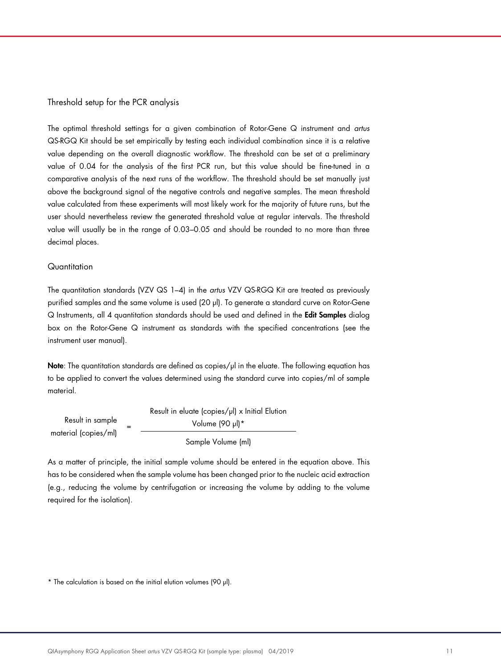#### Threshold setup for the PCR analysis

The optimal threshold settings for a given combination of Rotor-Gene Q instrument and *artus* QS-RGQ Kit should be set empirically by testing each individual combination since it is a relative value depending on the overall diagnostic workflow. The threshold can be set at a preliminary value of 0.04 for the analysis of the first PCR run, but this value should be fine-tuned in a comparative analysis of the next runs of the workflow. The threshold should be set manually just above the background signal of the negative controls and negative samples. The mean threshold value calculated from these experiments will most likely work for the majority of future runs, but the user should nevertheless review the generated threshold value at regular intervals. The threshold value will usually be in the range of 0.03–0.05 and should be rounded to no more than three decimal places.

#### **Quantitation**

The quantitation standards (VZV QS 1–4) in the *artus* VZV QS-RGQ Kit are treated as previously purified samples and the same volume is used (20 µl). To generate a standard curve on Rotor-Gene Q Instruments, all 4 quantitation standards should be used and defined in the Edit Samples dialog box on the Rotor-Gene Q instrument as standards with the specified concentrations (see the instrument user manual).

Note: The quantitation standards are defined as copies/µl in the eluate. The following equation has to be applied to convert the values determined using the standard curve into copies/ml of sample material.

|                      | Result in eluate (copies/µl) x Initial Elution |
|----------------------|------------------------------------------------|
| Result in sample     | Volume (90 µl)*                                |
| material (copies/ml) | Sample Volume (ml)                             |

As a matter of principle, the initial sample volume should be entered in the equation above. This has to be considered when the sample volume has been changed prior to the nucleic acid extraction (e.g., reducing the volume by centrifugation or increasing the volume by adding to the volume required for the isolation).

<sup>\*</sup> The calculation is based on the initial elution volumes (90 µl).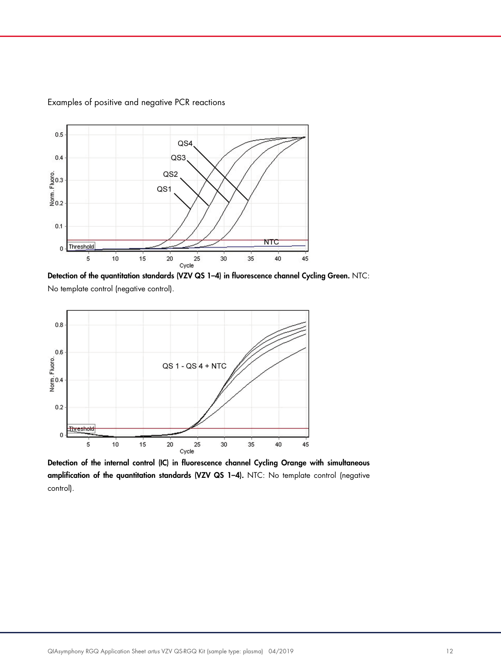

Examples of positive and negative PCR reactions

Detection of the quantitation standards (VZV QS 1-4) in fluorescence channel Cycling Green. NTC: No template control (negative control).



Detection of the internal control (IC) in fluorescence channel Cycling Orange with simultaneous amplification of the quantitation standards (VZV QS 1–4). NTC: No template control (negative control).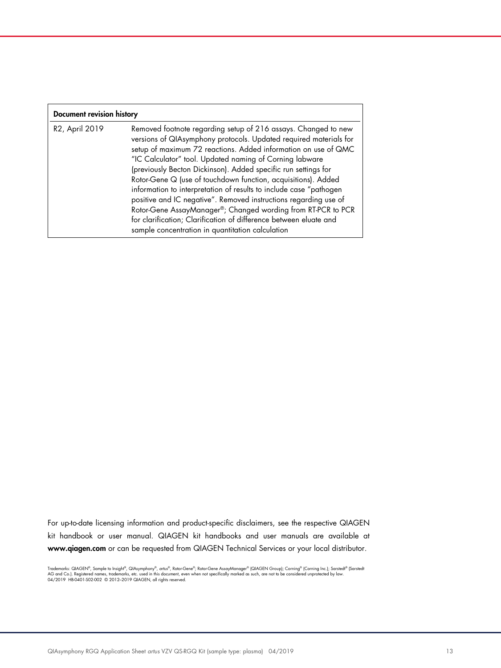| Document revision history |                                                                                                                                                                                                                                                                                                                                                                                                                                                                                                                                                                                                                                                                                                                                        |  |  |
|---------------------------|----------------------------------------------------------------------------------------------------------------------------------------------------------------------------------------------------------------------------------------------------------------------------------------------------------------------------------------------------------------------------------------------------------------------------------------------------------------------------------------------------------------------------------------------------------------------------------------------------------------------------------------------------------------------------------------------------------------------------------------|--|--|
| R2, April 2019            | Removed footnote regarding setup of 216 assays. Changed to new<br>versions of QIAsymphony protocols. Updated required materials for<br>setup of maximum 72 reactions. Added information on use of QMC<br>"IC Calculator" tool. Updated naming of Corning labware<br>(previously Becton Dickinson). Added specific run settings for<br>Rotor-Gene Q (use of touchdown function, acquisitions). Added<br>information to interpretation of results to include case "pathogen<br>positive and IC negative". Removed instructions regarding use of<br>Rotor-Gene AssayManager®; Changed wording from RT-PCR to PCR<br>for clarification; Clarification of difference between eluate and<br>sample concentration in quantitation calculation |  |  |

For up-to-date licensing information and product-specific disclaimers, see the respective QIAGEN kit handbook or user manual. QIAGEN kit handbooks and user manuals are available at www.qiagen.com or can be requested from QIAGEN Technical Services or your local distributor.

Trademarks: QIAGEN®, Sample to Insighi®, QIAsymphony®, *artus®,* Rotor-Gene AssayManager® (QIAGEN Group); Corning® (Corning Inc.); Sarstedt® (Sarstedt<br>AG and Co.). Registered names, trademarks, etc. used in this document,